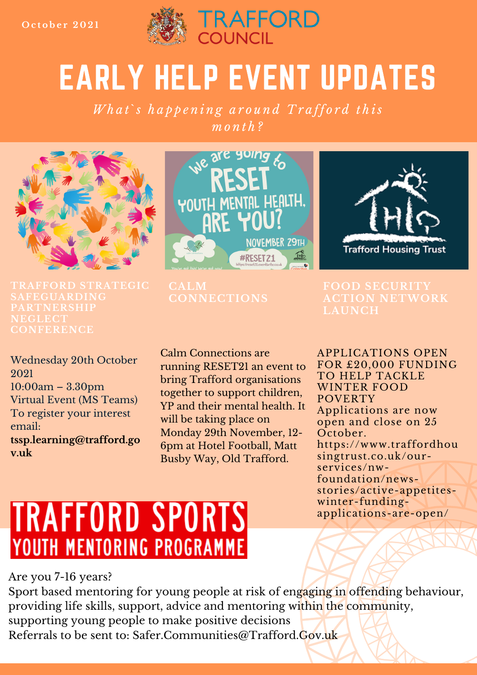

# EARLY HELP EVENT UPDATES

What's happening around Trafford this  $m \cdot n$   $th$  ?



**TRAFFORD STRATEGIC SAFEGUARDING CONFERENCE**

Wednesday 20th October 2021 10:00am – 3.30pm Virtual Event (MS Teams) To register your interest email: **tssp.learning@trafford.go v.uk**



**CONNECTIONS**

Calm Connections are running RESET21 an event to bring Trafford organisations together to support children, YP and their mental health. It will be taking place on Monday 29th November, 12- 6pm at Hotel Football, Matt Busby Way, Old Trafford.



## **ACTION NETWORK**

APPLICATIONS OPEN FOR £20,000 FUNDING TO HELP TACKLE WINTER FOOD POVERTY Applications are now open and close on 25 October. https://www.traffordhou singtrust.co.uk/ourservices/nwfoundation/newsstories/active-appetiteswinter-fundingapplications-are-open/

## **TRAFFORD SPORTS** YOUTH MENTORING PROGRAMME

Are you 7-16 years?

Sport based mentoring for young people at risk of engaging in offending behaviour, providing life skills, support, advice and mentoring within the community, supporting young people to make positive decisions Referrals to be sent to: Safer.Communities@Trafford.Gov.uk